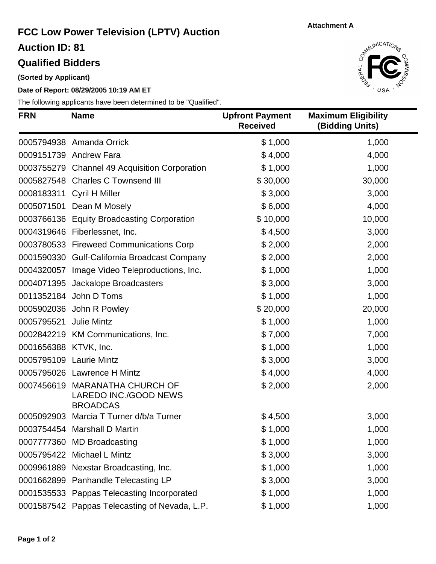#### **Attachment A**

## **FCC Low Power Television (LPTV) Auction**

**Auction ID: 81**

### **Qualified Bidders**

**(Sorted by Applicant)**

#### **Date of Report: 08/29/2005 10:19 AM ET**

The following applicants have been determined to be "Qualified".



| <b>FRN</b>            | <b>Name</b>                                                                | <b>Upfront Payment</b><br><b>Received</b> | <b>Maximum Eligibility</b><br>(Bidding Units) |
|-----------------------|----------------------------------------------------------------------------|-------------------------------------------|-----------------------------------------------|
|                       | 0005794938 Amanda Orrick                                                   | \$1,000                                   | 1,000                                         |
|                       | 0009151739 Andrew Fara                                                     | \$4,000                                   | 4,000                                         |
|                       | 0003755279 Channel 49 Acquisition Corporation                              | \$1,000                                   | 1,000                                         |
|                       | 0005827548 Charles C Townsend III                                          | \$30,000                                  | 30,000                                        |
|                       | 0008183311 Cyril H Miller                                                  | \$3,000                                   | 3,000                                         |
|                       | 0005071501 Dean M Mosely                                                   | \$6,000                                   | 4,000                                         |
|                       | 0003766136 Equity Broadcasting Corporation                                 | \$10,000                                  | 10,000                                        |
|                       | 0004319646 Fiberlessnet, Inc.                                              | \$4,500                                   | 3,000                                         |
|                       | 0003780533 Fireweed Communications Corp                                    | \$2,000                                   | 2,000                                         |
|                       | 0001590330 Gulf-California Broadcast Company                               | \$2,000                                   | 2,000                                         |
|                       | 0004320057 Image Video Teleproductions, Inc.                               | \$1,000                                   | 1,000                                         |
|                       | 0004071395 Jackalope Broadcasters                                          | \$3,000                                   | 3,000                                         |
|                       | 0011352184 John D Toms                                                     | \$1,000                                   | 1,000                                         |
|                       | 0005902036 John R Powley                                                   | \$20,000                                  | 20,000                                        |
| 0005795521            | Julie Mintz                                                                | \$1,000                                   | 1,000                                         |
|                       | 0002842219 KM Communications, Inc.                                         | \$7,000                                   | 7,000                                         |
| 0001656388 KTVK, Inc. |                                                                            | \$1,000                                   | 1,000                                         |
|                       | 0005795109 Laurie Mintz                                                    | \$3,000                                   | 3,000                                         |
|                       | 0005795026 Lawrence H Mintz                                                | \$4,000                                   | 4,000                                         |
|                       | 0007456619 MARANATHA CHURCH OF<br>LAREDO INC./GOOD NEWS<br><b>BROADCAS</b> | \$2,000                                   | 2,000                                         |
|                       | 0005092903 Marcia T Turner d/b/a Turner                                    | \$4,500                                   | 3,000                                         |
|                       | 0003754454 Marshall D Martin                                               | \$1,000                                   | 1,000                                         |
|                       | 0007777360 MD Broadcasting                                                 | \$1,000                                   | 1,000                                         |
|                       | 0005795422 Michael L Mintz                                                 | \$3,000                                   | 3,000                                         |
|                       | 0009961889 Nexstar Broadcasting, Inc.                                      | \$1,000                                   | 1,000                                         |
|                       | 0001662899 Panhandle Telecasting LP                                        | \$3,000                                   | 3,000                                         |
|                       | 0001535533 Pappas Telecasting Incorporated                                 | \$1,000                                   | 1,000                                         |
|                       | 0001587542 Pappas Telecasting of Nevada, L.P.                              | \$1,000                                   | 1,000                                         |